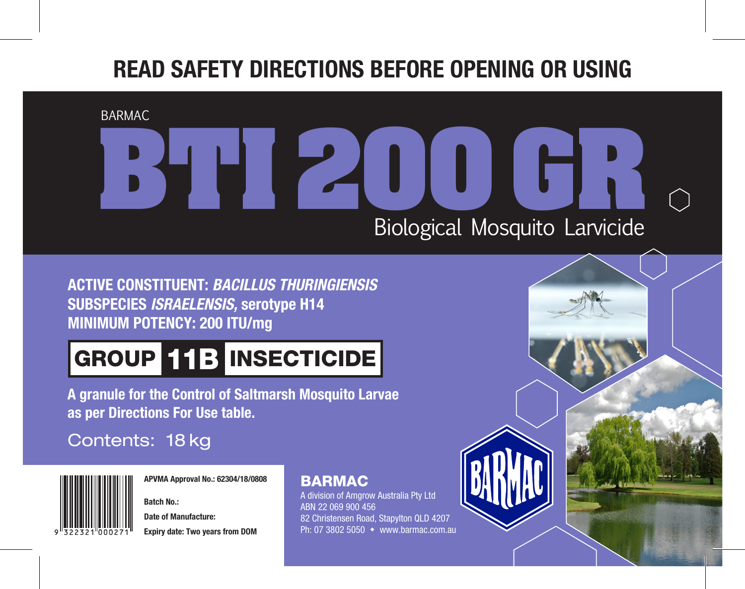## **READ SAFETY DIRECTIONS BEFORE OPENING OR USING**

BARMAC

# **BHI** 200 Biological Mosquito Larvicide **GREE**

**ACTIVE CONSTITUENT:** *BACILLUS THURINGIENSIS* **SUBSPECIES** *ISRAELENSIS,* **serotype H14 MINIMUM POTENCY: 200 ITU/mg**

# GROUP 11B INSECTICIDE

**A granule for the Control of Saltmarsh Mosquito Larvae as per Directions For Use table.**

## Contents: 18 kg



**APVMA Approval No.: 62304/18/0808**

**Batch No.:**

**Date of Manufacture: Expiry date: Two years from DOM**

### BARMAC

A division of Amgrow Australia Pty Ltd ABN 22 069 900 456 82 Christensen Road, Stapylton QLD 4207 Ph: 07 3802 5050  $\leftrightarrow$  www.barmac.com.au